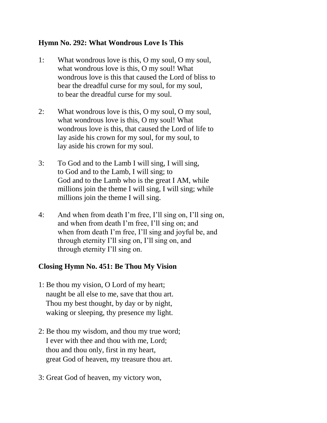## **Hymn No. 292: What Wondrous Love Is This**

- 1: What wondrous love is this, O my soul, O my soul, what wondrous love is this, O my soul! What wondrous love is this that caused the Lord of bliss to bear the dreadful curse for my soul, for my soul, to bear the dreadful curse for my soul.
- 2: What wondrous love is this, O my soul, O my soul, what wondrous love is this, O my soul! What wondrous love is this, that caused the Lord of life to lay aside his crown for my soul, for my soul, to lay aside his crown for my soul.
- 3: To God and to the Lamb I will sing, I will sing, to God and to the Lamb, I will sing; to God and to the Lamb who is the great I AM, while millions join the theme I will sing, I will sing; while millions join the theme I will sing.
- 4: And when from death I'm free, I'll sing on, I'll sing on, and when from death I'm free, I'll sing on; and when from death I'm free, I'll sing and joyful be, and through eternity I'll sing on, I'll sing on, and through eternity I'll sing on.

## **Closing Hymn No. 451: Be Thou My Vision**

- 1: Be thou my vision, O Lord of my heart; naught be all else to me, save that thou art. Thou my best thought, by day or by night, waking or sleeping, thy presence my light.
- 2: Be thou my wisdom, and thou my true word; I ever with thee and thou with me, Lord; thou and thou only, first in my heart, great God of heaven, my treasure thou art.
- 3: Great God of heaven, my victory won,